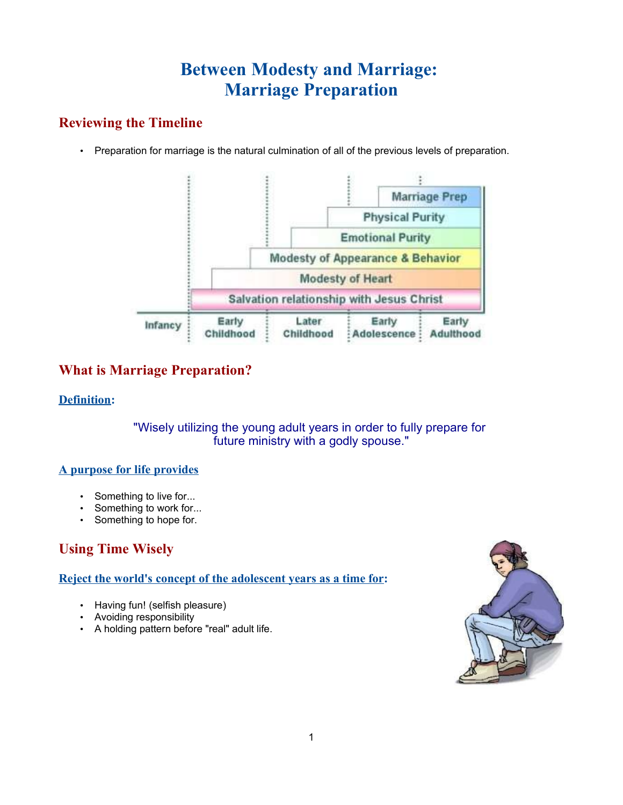# **Between Modesty and Marriage: Marriage Preparation**

# **Reviewing the Timeline**

• Preparation for marriage is the natural culmination of all of the previous levels of preparation.



# **What is Marriage Preparation?**

### **Definition:**

"Wisely utilizing the young adult years in order to fully prepare for future ministry with a godly spouse."

### **A purpose for life provides**

- Something to live for...
- Something to work for...
- Something to hope for.

# **Using Time Wisely**

### **Reject the world's concept of the adolescent years as a time for:**

- Having fun! (selfish pleasure)
- Avoiding responsibility
- A holding pattern before "real" adult life.

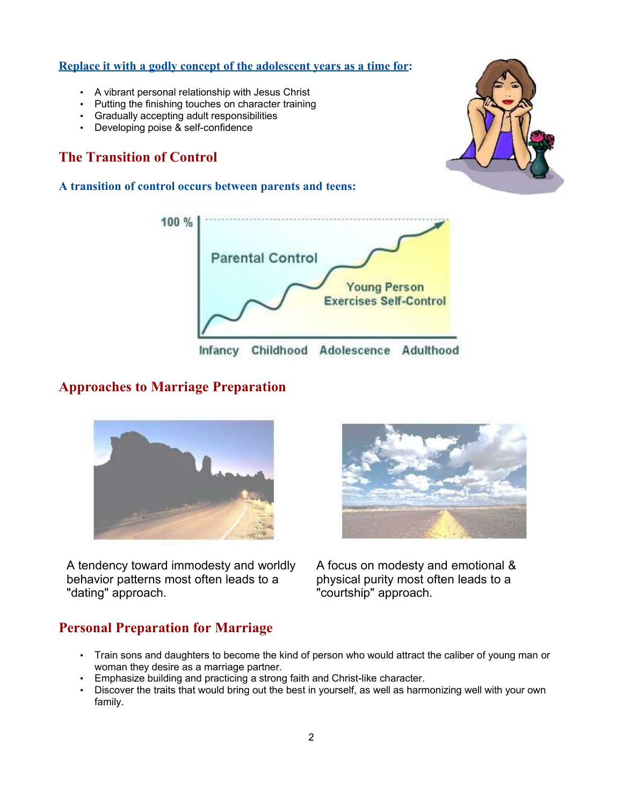#### **Replace it with a godly concept of the adolescent years as a time for:**

- A vibrant personal relationship with Jesus Christ
- Putting the finishing touches on character training
- Gradually accepting adult responsibilities
- Developing poise & self-confidence

# **The Transition of Control**

#### **A transition of control occurs between parents and teens:**





## **Approaches to Marriage Preparation**



A tendency toward immodesty and worldly behavior patterns most often leads to a "dating" approach.



A focus on modesty and emotional & physical purity most often leads to a "courtship" approach.

## **Personal Preparation for Marriage**

- Train sons and daughters to become the kind of person who would attract the caliber of young man or woman they desire as a marriage partner.
- Emphasize building and practicing a strong faith and Christ-like character.
- Discover the traits that would bring out the best in yourself, as well as harmonizing well with your own family.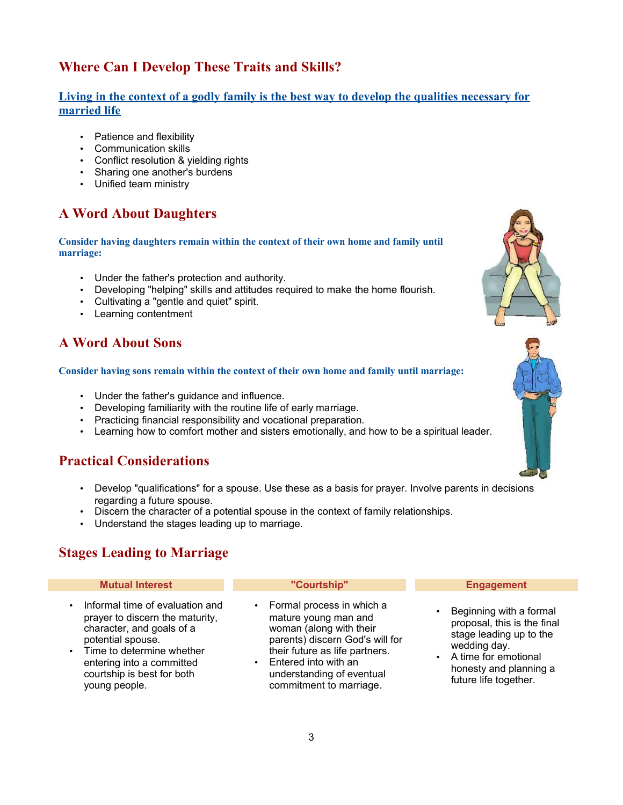# **Where Can I Develop These Traits and Skills?**

### **Living in the context of a godly family is the best way to develop the qualities necessary for married life**

- Patience and flexibility
- Communication skills
- Conflict resolution & yielding rights
- Sharing one another's burdens
- Unified team ministry

# **A Word About Daughters**

**Consider having daughters remain within the context of their own home and family until marriage:**

- Under the father's protection and authority.
- Developing "helping" skills and attitudes required to make the home flourish.
- Cultivating a "gentle and quiet" spirit.
- Learning contentment

# **A Word About Sons**

#### **Consider having sons remain within the context of their own home and family until marriage:**

- Under the father's guidance and influence.
- Developing familiarity with the routine life of early marriage.
- Practicing financial responsibility and vocational preparation.
- Learning how to comfort mother and sisters emotionally, and how to be a spiritual leader.

## **Practical Considerations**

- Develop "qualifications" for a spouse. Use these as a basis for prayer. Involve parents in decisions regarding a future spouse.
- Discern the character of a potential spouse in the context of family relationships.
- Understand the stages leading up to marriage.

# **Stages Leading to Marriage**

#### **Mutual Interest "Courtship" Engagement**

- Informal time of evaluation and prayer to discern the maturity, character, and goals of a potential spouse.
- Time to determine whether entering into a committed courtship is best for both young people.

• Formal process in which a mature young man and woman (along with their parents) discern God's will for their future as life partners.

• Entered into with an understanding of eventual commitment to marriage.

• Beginning with a formal proposal, this is the final stage leading up to the wedding day.

• A time for emotional honesty and planning a future life together.